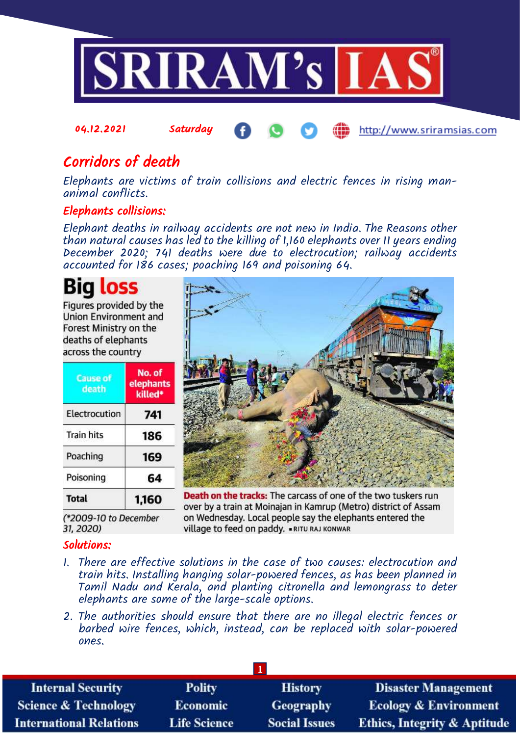

#### 04.12.2021 Saturday http://www.sriramsias.com

## Corridors of death

Elephants are victims of train collisions and electric fences in rising mananimal conflicts.

## Elephants collisions:

Elephant deaths in railway accidents are not new in India. The Reasons other than natural causes has led to the killing of 1,160 elephants over 11 years ending December 2020; 741 deaths were due to electrocution; railway accidents accounted for 186 cases; poaching 169 and poisoning 64.

# **Big loss**

Figures provided by the Union Environment and Forest Ministry on the deaths of elephants across the country

| <b>Cause of</b><br>death | No. of<br>elephants<br>killed* |
|--------------------------|--------------------------------|
| Electrocution            | 741                            |
| <b>Train hits</b>        | 186                            |
| Poaching                 | 169                            |
| Poisoning                | 64                             |
| <b>Total</b>             | 1,160                          |
|                          |                                |

(\*2009-10 to December 31, 2020)

Solutions:



**Death on the tracks:** The carcass of one of the two tuskers run over by a train at Moinajan in Kamrup (Metro) district of Assam on Wednesday. Local people say the elephants entered the village to feed on paddy. . RITU RAJ KONWAR

#### 1. There are effective solutions in the case of two causes: electrocution and train hits. Installing hanging solar-powered fences, as has been planned in Tamil Nadu and Kerala, and planting citronella and lemongrass to deter elephants are some of the large-scale options.

2. The authorities should ensure that there are no illegal electric fences or barbed wire fences, which, instead, can be replaced with solar-powered ones.

| <b>Internal Security</b>        | Polity              | <b>History</b>       | <b>Disaster Management</b>              |  |  |
|---------------------------------|---------------------|----------------------|-----------------------------------------|--|--|
| <b>Science &amp; Technology</b> | <b>Economic</b>     | Geography            | <b>Ecology &amp; Environment</b>        |  |  |
| <b>International Relations</b>  | <b>Life Science</b> | <b>Social Issues</b> | <b>Ethics, Integrity &amp; Aptitude</b> |  |  |